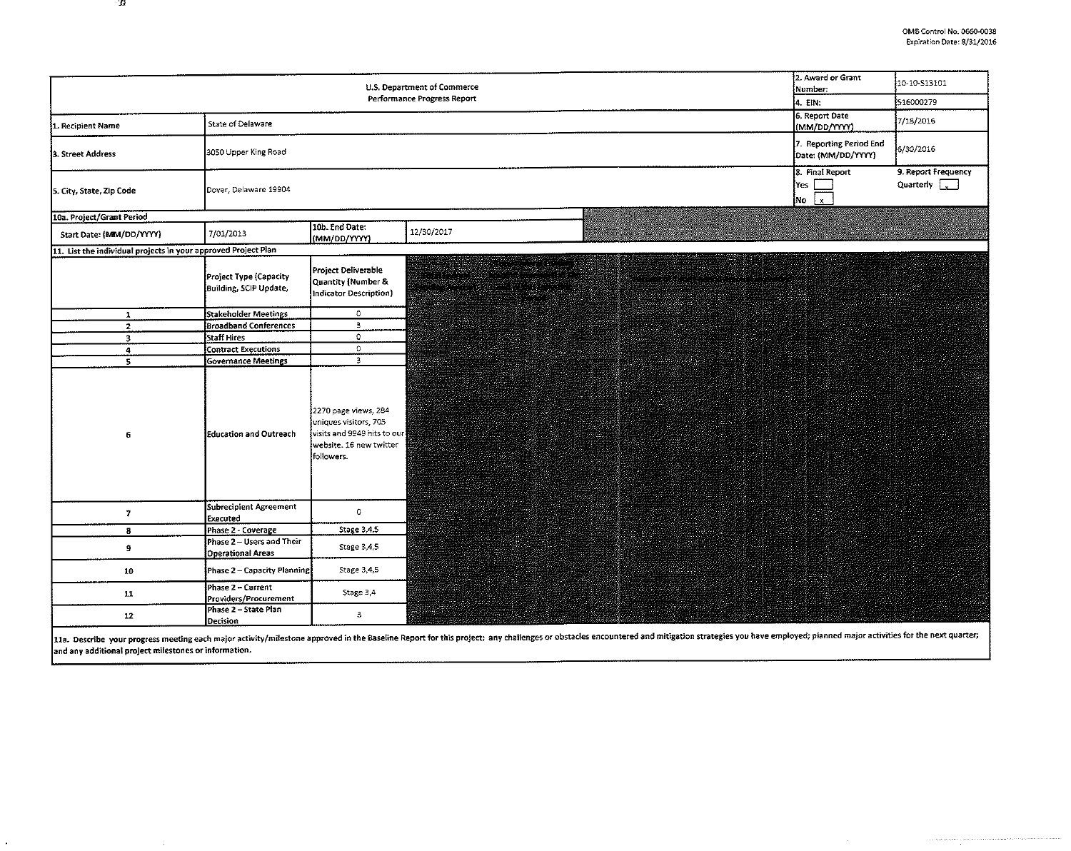$\sim 10^{-1}$ 

 $\label{eq:2} \begin{split} \mathcal{L}(\mathcal{L}) & = \mathcal{L}(\mathcal{L}(\mathcal{L}(\mathcal{L}(\mathcal{L}(\mathcal{L}(\mathcal{L}(\mathcal{L}(\mathcal{L}(\mathcal{L}(\mathcal{L}(\mathcal{L}(\mathcal{L}(\mathcal{L}(\mathcal{L}(\mathcal{L}(\mathcal{L}(\mathcal{L}(\mathcal{L}(\mathcal{L}(\mathcal{L}(\mathcal{L}(\mathcal{L}(\mathcal{L}(\mathcal{L}(\mathcal{L}(\mathcal{L}(\mathcal{L}(\mathcal{L}(\mathcal{L}(\mathcal{L}(\mathcal{L}(\math$ 

| U.S. Department of Commerce<br>Performance Progress Report     |                                                  |                                                                                                                       |                                                                                                                                                                                                                                                                                                                                                                                                    |                                                                                                                                                                                                                                | 2. Award or Grant<br>Number: | 10-10-513101                                     |                                                 |
|----------------------------------------------------------------|--------------------------------------------------|-----------------------------------------------------------------------------------------------------------------------|----------------------------------------------------------------------------------------------------------------------------------------------------------------------------------------------------------------------------------------------------------------------------------------------------------------------------------------------------------------------------------------------------|--------------------------------------------------------------------------------------------------------------------------------------------------------------------------------------------------------------------------------|------------------------------|--------------------------------------------------|-------------------------------------------------|
|                                                                |                                                  |                                                                                                                       |                                                                                                                                                                                                                                                                                                                                                                                                    |                                                                                                                                                                                                                                |                              | 4. EIN:<br>6. Report Date                        | 516000279                                       |
| 1. Recipient Name                                              | State of Delaware                                |                                                                                                                       |                                                                                                                                                                                                                                                                                                                                                                                                    |                                                                                                                                                                                                                                |                              | (MM/DD/YYYY)                                     | 7/18/2016                                       |
| 3. Street Address                                              | 3050 Upper King Road                             |                                                                                                                       |                                                                                                                                                                                                                                                                                                                                                                                                    |                                                                                                                                                                                                                                |                              | 7. Reporting Period End<br>Date: (MM/DD/YYYY)    | 6/30/2016                                       |
| 5. City, State, Zip Code                                       | Dover, Delaware 19904                            |                                                                                                                       |                                                                                                                                                                                                                                                                                                                                                                                                    |                                                                                                                                                                                                                                |                              | 8. Final Report<br>i Yes<br>$\mathbf{x}$<br>i lo | 9. Report Frequency<br>Quarterly <b>Quarter</b> |
| 10a. Project/Grant Period                                      |                                                  |                                                                                                                       |                                                                                                                                                                                                                                                                                                                                                                                                    |                                                                                                                                                                                                                                |                              |                                                  |                                                 |
| Start Date: (MIM/DD/YYYY)                                      | 7/01/2013                                        | 10b. End Date:<br>(MM/DD/YYYY)                                                                                        | 12/30/2017                                                                                                                                                                                                                                                                                                                                                                                         |                                                                                                                                                                                                                                |                              |                                                  |                                                 |
| 11. List the individual projects in your approved Project Plan |                                                  |                                                                                                                       |                                                                                                                                                                                                                                                                                                                                                                                                    |                                                                                                                                                                                                                                |                              |                                                  |                                                 |
|                                                                | Project Type (Capacity<br>Building, SCIP Update, | Project Deliverable<br>Quantity (Number &<br>Indicator Description)                                                   | a na matamatan na kataloni na matamatan na matamatan a 12.<br>Manazarta na matamatan na matamatan na matamatan na matamatan na matamatan na matamatan na matamatan na matama<br>n en de serve<br>a kalendar yang bermula pada pada 1982. Pada 1983 daerah tahun 1983.<br>Pada tahun bahasa di Pada Selatan dalam bahasa dalam bahasa dalam bahasa dalam bahasa dalam bahasa dalam bahas<br>anns an |                                                                                                                                                                                                                                |                              |                                                  |                                                 |
| $\mathbf{1}$                                                   | Stakeholder Meetings                             | $\circ$                                                                                                               |                                                                                                                                                                                                                                                                                                                                                                                                    |                                                                                                                                                                                                                                |                              |                                                  |                                                 |
| $\mathbf{z}$                                                   | <b>Broadband Conferences</b>                     | 3                                                                                                                     |                                                                                                                                                                                                                                                                                                                                                                                                    |                                                                                                                                                                                                                                |                              |                                                  |                                                 |
| $\overline{\mathbf{3}}$                                        | Staff Hires                                      | $\circ$                                                                                                               |                                                                                                                                                                                                                                                                                                                                                                                                    |                                                                                                                                                                                                                                |                              |                                                  |                                                 |
| $\blacktriangleleft$                                           | <b>Contract Executions</b>                       | $\circ$                                                                                                               |                                                                                                                                                                                                                                                                                                                                                                                                    |                                                                                                                                                                                                                                |                              |                                                  |                                                 |
| 5                                                              | <b>Governance Meetings</b>                       | $\mathbf{3}$                                                                                                          |                                                                                                                                                                                                                                                                                                                                                                                                    |                                                                                                                                                                                                                                |                              |                                                  |                                                 |
| 6                                                              | Education and Outreach                           | 2270 page views, 284<br>uniques visitors, 705<br>visits and 9949 hits to our<br>website. 16 new twitter<br>followers. |                                                                                                                                                                                                                                                                                                                                                                                                    |                                                                                                                                                                                                                                |                              |                                                  |                                                 |
| $\mathbf{7}$                                                   | <b>Subrecipient Agreement</b><br>Executed        | $\mathbf 0$                                                                                                           |                                                                                                                                                                                                                                                                                                                                                                                                    |                                                                                                                                                                                                                                |                              |                                                  |                                                 |
| 8                                                              | Phase 2 - Coverage                               | Stage 3,4,5                                                                                                           |                                                                                                                                                                                                                                                                                                                                                                                                    |                                                                                                                                                                                                                                |                              |                                                  |                                                 |
| 9                                                              | Phase 2 - Users and Their<br>Operational Areas   | Stage 3,4,5                                                                                                           |                                                                                                                                                                                                                                                                                                                                                                                                    |                                                                                                                                                                                                                                |                              |                                                  |                                                 |
| 10                                                             | Phase 2 - Capacity Planning                      | Stage 3,4.5                                                                                                           |                                                                                                                                                                                                                                                                                                                                                                                                    |                                                                                                                                                                                                                                |                              |                                                  |                                                 |
| 11                                                             | Phase 2 - Current<br>Providers/Procurement       | Stage 3,4                                                                                                             |                                                                                                                                                                                                                                                                                                                                                                                                    |                                                                                                                                                                                                                                |                              |                                                  |                                                 |
| $12 \overline{ }$                                              | Phase 2 - State Plan<br>Decision                 | $\overline{\mathbf{3}}$                                                                                               |                                                                                                                                                                                                                                                                                                                                                                                                    |                                                                                                                                                                                                                                |                              |                                                  |                                                 |
|                                                                |                                                  |                                                                                                                       |                                                                                                                                                                                                                                                                                                                                                                                                    | 11a. Describe your progress meeting each major activity/milestone approved in the Baseline Report for this project; any challenges or obstacles encountered and mitigation strategies you have employed; planned major activit |                              |                                                  |                                                 |

and any additional project milestones or information.

 $\sim 10^{-1}$ 

 $\Box$ 

 $\mathcal{L}$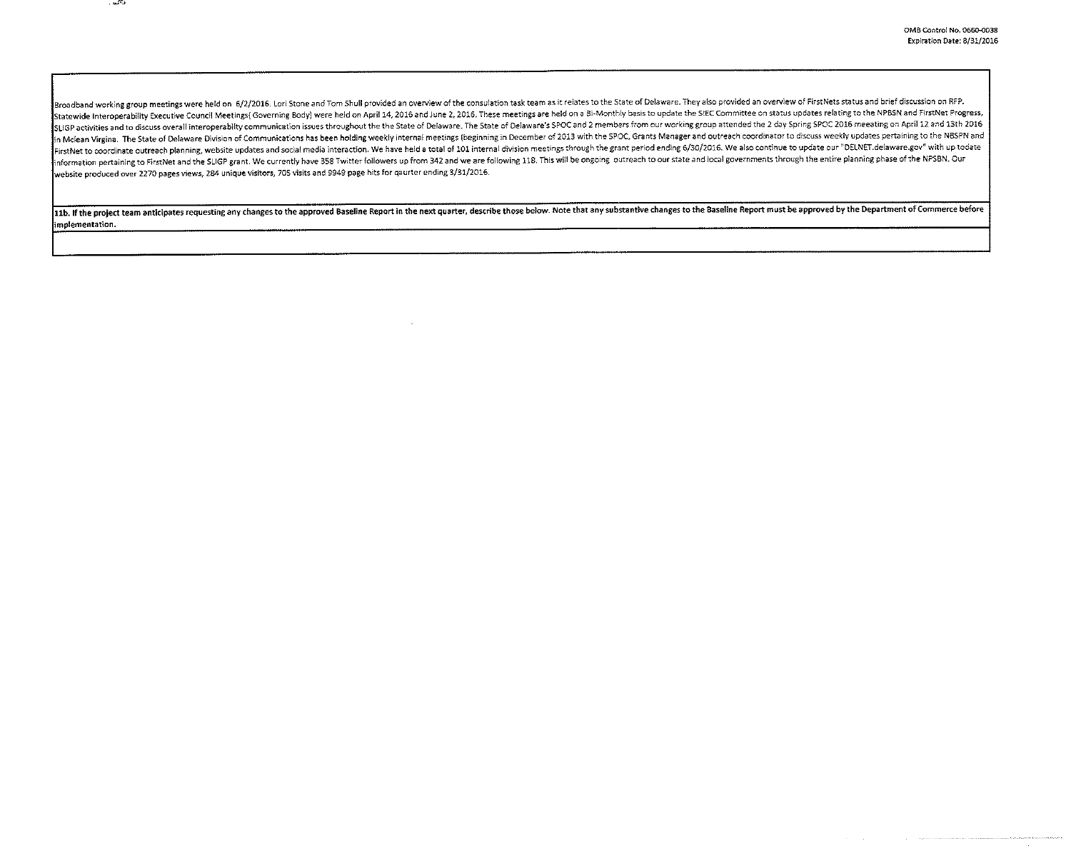and a strategies in the community of the state of

Broadband working group meetings were held on 6/2/2016. Lori Stone and Tom Shull provided an overview of the consulation task team as it relates to the State of Delaware. They also provided an overview of FirstNets status Statewide Interoperability Executive Council Meetings(Governing Body) were held on April 14, 2016 and June 2, 2016. These meetings are held on a Bi-Monthly basis to update the SIEC Committee on status updates relating to t SLIGP activities and to discuss overall interoperabilty communication issues throughout the the State of Delaware. The State of Delaware's SPOC and 2 members from our working group attended the 2 day Spring SPOC 2016 meeat in Mclean Virgina. The State of Delaware Division of Communications has been holding weekly internal meetings (beginning in December of 2013 with the SPOC, Grants Manager and outreach coordinator to discuss weekly updates FirstNet to coordinate outreach planning, website updates and social media interaction. We have held a total of 101 internal division meetings through the grant period ending 6/30/2016. We also continue to update our "DELN information pertaining to FirstNet and the SLIGP grant. We currently have 358 Twitter followers up from 342 and we are following 118. This will be ongoing outreach to our state and local governments through the entire plan website produced over 2270 pages views, 284 unique visitors, 70S visits and 9949 page hits for qaurter ending 3/31/2016.

11b. If the project team anticipates requesting any changes to the approved Baseline Report in the next quarter, describe those below. Note that any substantive changes to the Baseline Report must be approved by the Depart implementation.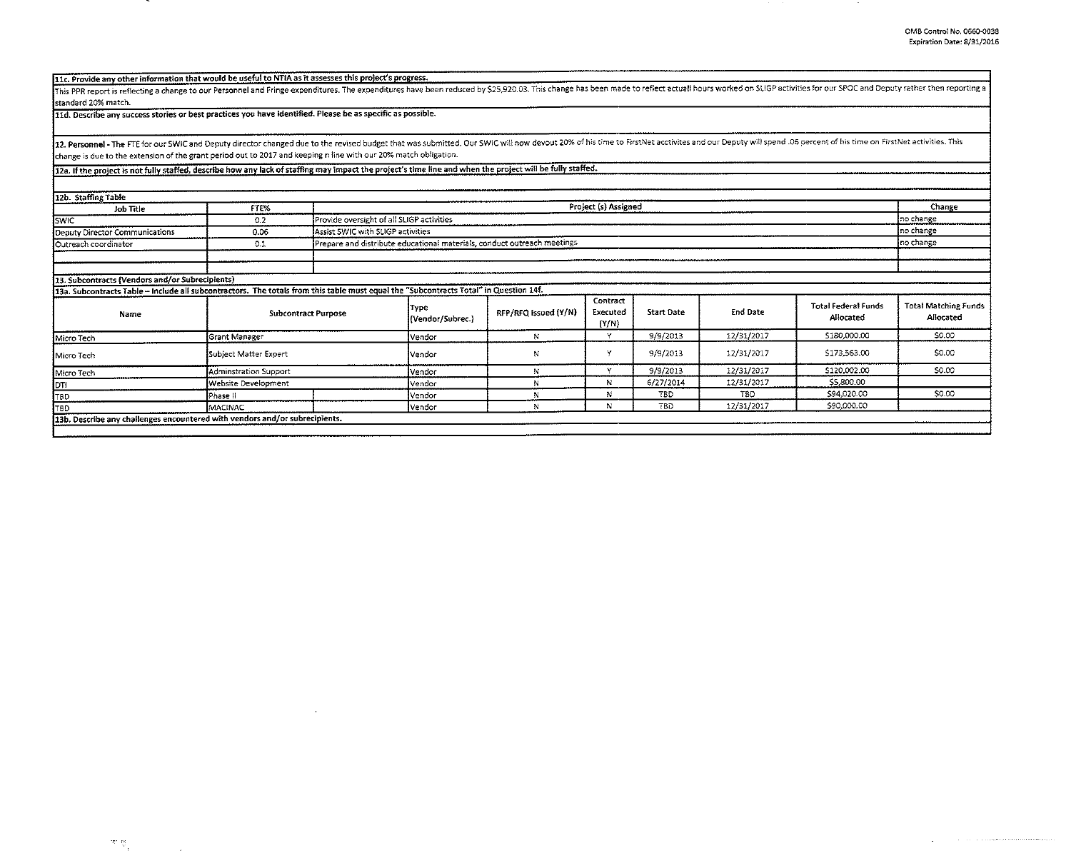## 11c. Provide any other information that would be useful to NTIA as it assesses this project's progress.

This PPR report is reflecting a change to our Personnel and Fringe expenditures. The expenditures have been reduced by \$25,920.03. This change has been made to reflect actuall hours worked on SLIGP activities for our SPOC standard 20% match.

11d. Describe any success stories or best practices you have identified. Please be as specific as possible.

12. Personnel - The FTE for our SWIC and Deputy director changed due to the revised budget that was submitted. Our SWIC will now devout 20% of his time to FirstNet acctivites and our Deputy will spend .05 percent of his ti change is due to the extension of the grant period out to 2017 and keeping n line with our 20% match obligation.

12a. If the project is not fully staffed, describe how any lack of staffing may impact the project's time line and when the project will be fully staffed.

| 12b. Staffing Table                                                                                                                   |                            |                                                                         |                          |                      |                                 |            |            |                                         |                                          |
|---------------------------------------------------------------------------------------------------------------------------------------|----------------------------|-------------------------------------------------------------------------|--------------------------|----------------------|---------------------------------|------------|------------|-----------------------------------------|------------------------------------------|
| Job Title                                                                                                                             | FTE%                       | Project (s) Assigned                                                    |                          |                      |                                 |            |            |                                         |                                          |
| <b>SWIC</b>                                                                                                                           | 0.2                        | Provide oversight of all SLIGP activities                               |                          |                      |                                 |            |            |                                         | no change                                |
| Deputy Director Communications                                                                                                        | 0.06                       | Assist SWIC with SLIGP activities                                       |                          |                      |                                 |            |            |                                         | no change                                |
| Outreach coordinator                                                                                                                  | 0.1                        | Prepare and distribute educational materials, conduct outreach meetings |                          |                      |                                 |            |            | no change                               |                                          |
|                                                                                                                                       |                            |                                                                         |                          |                      |                                 |            |            |                                         |                                          |
|                                                                                                                                       |                            |                                                                         |                          |                      |                                 |            |            |                                         |                                          |
| 13. Subcontracts (Vendors and/or Subrecipients)                                                                                       |                            |                                                                         |                          |                      |                                 |            |            |                                         |                                          |
| 13a. Subcontracts Table - Include all subcontractors. The totals from this table must equal the "Subcontracts Total" in Question 14f. |                            |                                                                         |                          |                      |                                 |            |            |                                         |                                          |
| Name                                                                                                                                  | <b>Subcontract Purpose</b> |                                                                         | Type<br>(Vendor/Subrec.) | RFP/RFQ Issued (Y/N) | Contract<br>Executed<br>${Y/N}$ | Start Date | End Date   | <b>Total Federal Funds</b><br>Allocated | <b>Total Matching Funds</b><br>Allocated |
| Micro Tech                                                                                                                            | <b>Grant Manager</b>       |                                                                         |                          | N                    | M                               | 9/9/2013   | 12/31/2017 | \$180,000.00                            | \$0.00                                   |
| Micro Tech                                                                                                                            | Subject Matter Expert      |                                                                         |                          | N                    | $\ddot{\phantom{1}}$            | 9/9/2013   | 12/31/2017 | \$173,563.00                            | \$0.00                                   |
| Micro Tech                                                                                                                            | Adminstration Support      |                                                                         |                          |                      | $\sim$                          | 9/9/2013   | 12/31/2017 | \$120,002.00                            | \$0.00                                   |
| <b>IDTI</b>                                                                                                                           | Website Development        |                                                                         |                          |                      | N                               | 6/27/2014  | 12/31/2017 | \$5,800.00                              |                                          |
| TBD                                                                                                                                   | Phase II                   |                                                                         | Vendor                   | N                    | N                               | <b>TBD</b> | TBD        | \$94,020.00                             | \$0.00                                   |
| T8D                                                                                                                                   | MACINAC                    |                                                                         | Vendor                   | N                    | N                               | TBD        | 12/31/2017 | \$90,000.00                             |                                          |
| 13b. Describe any challenges encountered with vendors and/or subrecipients.                                                           |                            |                                                                         |                          |                      |                                 |            |            |                                         |                                          |
|                                                                                                                                       |                            |                                                                         |                          |                      |                                 |            |            |                                         |                                          |